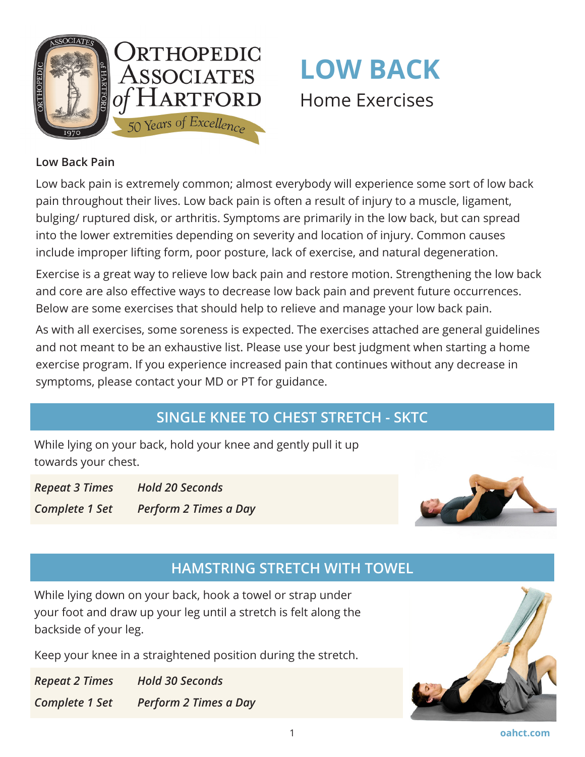

# **LOW BACK**  Home Exercises

#### **Low Back Pain**

Low back pain is extremely common; almost everybody will experience some sort of low back pain throughout their lives. Low back pain is often a result of injury to a muscle, ligament, bulging/ ruptured disk, or arthritis. Symptoms are primarily in the low back, but can spread into the lower extremities depending on severity and location of injury. Common causes include improper lifting form, poor posture, lack of exercise, and natural degeneration.

Exercise is a great way to relieve low back pain and restore motion. Strengthening the low back and core are also effective ways to decrease low back pain and prevent future occurrences. Below are some exercises that should help to relieve and manage your low back pain.

As with all exercises, some soreness is expected. The exercises attached are general guidelines and not meant to be an exhaustive list. Please use your best judgment when starting a home exercise program. If you experience increased pain that continues without any decrease in symptoms, please contact your MD or PT for guidance.

## **SINGLE KNEE TO CHEST STRETCH - SKTC**

While lying on your back, hold your knee and gently pull it up towards your chest.

*Repeat 3 Times Hold 20 Seconds Complete 1 Set Perform 2 Times a Day*



### **HAMSTRING STRETCH WITH TOWEL**

While lying down on your back, hook a towel or strap under your foot and draw up your leg until a stretch is felt along the backside of your leg.

Keep your knee in a straightened position during the stretch.

*Repeat 2 Times Hold 30 Seconds Complete 1 Set Perform 2 Times a Day*